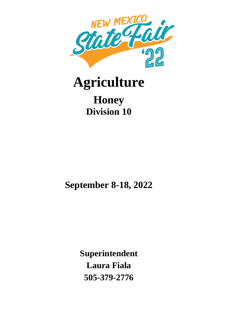

# **Agriculture**

# **Honey Division 10**

**September 8-18, 2022**

**Superintendent Laura Fiala 505-379-2776**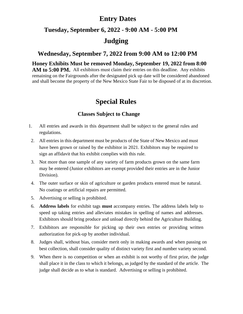## **Entry Dates**

## **Tuesday, September 6, 2022 - 9:00 AM - 5:00 PM**

## **Judging**

## **Wednesday, September 7, 2022 from 9:00 AM to 12:00 PM**

**Honey Exhibits Must be removed Monday, September 19, 2022 from 8:00**  AM to 5:00 PM. All exhibitors must claim their entries on this deadline. Any exhibits remaining on the Fairgrounds after the designated pick up date will be considered abandoned and shall become the property of the New Mexico State Fair to be disposed of at its discretion.

## **Special Rules**

## **Classes Subject to Change**

- 1. All entries and awards in this department shall be subject to the general rules and regulations.
- 2. All entries in this department must be products of the State of New Mexico and must have been grown or raised by the exhibitor in 2021. Exhibitors may be required to sign an affidavit that his exhibit complies with this rule.
- 3. Not more than one sample of any variety of farm products grown on the same farm may be entered (Junior exhibitors are exempt provided their entries are in the Junior Division).
- 4. The outer surface or skin of agriculture or garden products entered must be natural. No coatings or artificial repairs are permitted.
- 5. Advertising or selling is prohibited.
- 6. **Address labels** for exhibit tags **must** accompany entries. The address labels help to speed up taking entries and alleviates mistakes in spelling of names and addresses. Exhibitors should bring produce and unload directly behind the Agriculture Building.
- 7. Exhibitors are responsible for picking up their own entries or providing written authorization for pick-up by another individual.
- 8. Judges shall, without bias, consider merit only in making awards and when passing on best collection, shall consider quality of distinct variety first and number variety second.
- 9. When there is no competition or when an exhibit is not worthy of first prize, the judge shall place it in the class to which it belongs, as judged by the standard of the article. The judge shall decide as to what is standard. Advertising or selling is prohibited.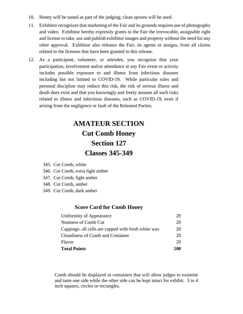- 10. Honey will be tasted as part of the judging; clean spoons will be used.
- 11. Exhibitor recognizes that marketing of the Fair and its grounds requires use of photography and video. Exhibitor hereby expressly grants to the Fair the irrevocable, assignable right and license to take, use and publish exhibitor images and property without the need for any other approval. Exhibitor also releases the Fair, its agents or assigns, from all claims related to the licenses that have been granted in this release.
- 12. As a participant, volunteer, or attendee, you recognize that your participation, involvement and/or attendance at any Fair event or activity includes possible exposure to and illness from infectious diseases including but not limited to COVID-19. While particular rules and personal discipline may reduce this risk, the risk of serious illness and death does exist and that you knowingly and freely assume all such risks related to illness and infectious diseases, such as COVID-19, even if arising from the negligence or fault of the Released Parties.

# **AMATEUR SECTION Cut Comb Honey Section 127 Classes 345-349**

|  | 345. Cut Comb, white |  |
|--|----------------------|--|
|--|----------------------|--|

- 346. Cut Comb, extra light amber
- 347. Cut Comb, light amber
- 348. Cut Comb, amber
- 349. Cut Comb, dark amber

#### **Score Card for Comb Honey**

| <b>Total Points</b>                                 | 100 |
|-----------------------------------------------------|-----|
| Flavor                                              | 20  |
| <b>Cleanliness of Comb and Container</b>            | 20  |
| Cappings- all cells are capped with fresh white wax | 20  |
| <b>Neatness of Comb Cut</b>                         | 20  |
| Uniformity of Appearance                            | 20  |

Comb should be displayed in containers that will allow judges to examine and taste one side while the other side can be kept intact for exhibit. 3 to 4 inch squares, circles or rectangles.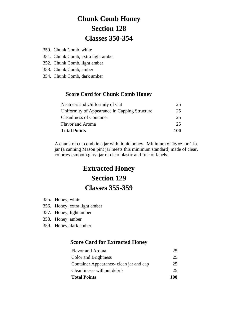# **Chunk Comb Honey Section 128 Classes 350-354**

- 350. Chunk Comb, white
- 351. Chunk Comb, extra light amber
- 352. Chunk Comb, light amber
- 353. Chunk Comb, amber
- 354. Chunk Comb, dark amber

## **Score Card for Chunk Comb Honey**

| <b>Total Points</b>                           | 100 |
|-----------------------------------------------|-----|
| <b>Flavor and Aroma</b>                       | 25. |
| <b>Cleanliness of Container</b>               | 25  |
| Uniformity of Appearance in Capping Structure | 25  |
| Neatness and Uniformity of Cut                | 25  |

A chunk of cut comb in a jar with liquid honey. Minimum of 16 oz. or 1 lb. jar (a canning Mason pint jar meets this minimum standard) made of clear, colorless smooth glass jar or clear plastic and free of labels.

# **Extracted Honey Section 129 Classes 355-359**

- 355. Honey, white
- 356. Honey, extra light amber
- 357. Honey, light amber
- 358. Honey, amber
- 359. Honey, dark amber

#### **Score Card for Extracted Honey**

| <b>Total Points</b>                      | 100 |
|------------------------------------------|-----|
| Cleanliness-without debris               | 25  |
| Container Appearance - clean jar and cap | 25  |
| Color and Brightness                     | 25  |
| <b>Flavor</b> and Aroma                  | 25  |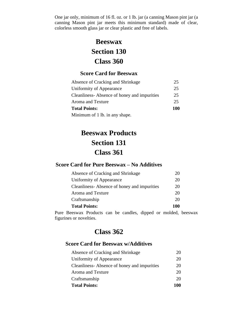One jar only, minimum of 16 fl. oz. or 1 lb. jar (a canning Mason pint jar (a canning Mason pint jar meets this minimum standard) made of clear, colorless smooth glass jar or clear plastic and free of labels.

## **Beeswax Section 130 Class 360**

### **Score Card for Beeswax**

| Absence of Cracking and Shrinkage           | 25. |
|---------------------------------------------|-----|
| Uniformity of Appearance                    | 25  |
| Cleanliness-Absence of honey and impurities | 25  |
| Aroma and Texture                           | 25  |
| <b>Total Points:</b>                        |     |
| Minimum of 1 lb. in any shape.              |     |

# **Beeswax Products Section 131 Class 361**

### **Score Card for Pure Beeswax – No Additives**

| <b>Total Points:</b>                        | 100 |
|---------------------------------------------|-----|
| Craftsmanship                               | 20  |
| Aroma and Texture                           | 20  |
| Cleanliness-Absence of honey and impurities | 20  |
| Uniformity of Appearance                    | 20  |
| Absence of Cracking and Shrinkage           | 20  |

Pure Beeswax Products can be candles, dipped or molded, beeswax figurines or novelties.

## **Class 362**

## **Score Card for Beeswax w/Additives**

| <b>Total Points:</b>                        | 100 |
|---------------------------------------------|-----|
| Craftsmanship                               | 20  |
| Aroma and Texture                           | 20  |
| Cleanliness-Absence of honey and impurities | 20  |
| Uniformity of Appearance                    | 20  |
| Absence of Cracking and Shrinkage           | 20  |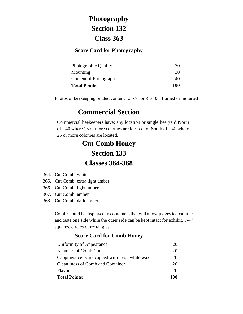# **Photography Section 132 Class 363**

### **Score Card for Photography**

| Photographic Quality  | 30  |
|-----------------------|-----|
| Mounting              | 30  |
| Content of Photograph | 40  |
| <b>Total Points:</b>  | 100 |

Photos of beekeeping related content. 5"x7" or 8"x10", framed or mounted

## **Commercial Section**

Commercial beekeepers have: any location or single bee yard North of I-40 where 15 or more colonies are located, or South of I-40 where 25 or more colonies are located.

# **Cut Comb Honey Section 133 Classes 364-368**

- 364. Cut Comb, white
- 365. Cut Comb, extra light amber
- 366. Cut Comb, light amber
- 367. Cut Comb, amber
- 368. Cut Comb, dark amber

Comb should be displayed in containers that will allow judges to examine and taste one side while the other side can be kept intact for exhibit. 3-4" squares, circles or rectangles

#### **Score Card for Comb Honey**

| <b>Total Points:</b>                            | 100 |
|-------------------------------------------------|-----|
| Flavor                                          | 20  |
| <b>Cleanliness of Comb and Container</b>        | 20  |
| Cappings- cells are capped with fresh white wax | 20  |
| Neatness of Comb Cut                            | 20  |
| Uniformity of Appearance                        | 20  |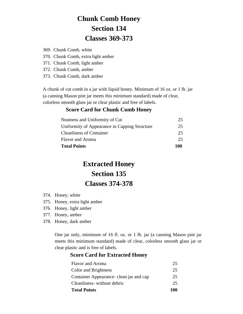# **Chunk Comb Honey Section 134 Classes 369-373**

369. Chunk Comb, white

- 370. Chunk Comb, extra light amber
- 371. Chunk Comb, light amber
- 372. Chunk Comb, amber
- 373. Chunk Comb, dark amber

A chunk of cut comb in a jar with liquid honey. Minimum of 16 oz. or 1 lb. jar (a canning Mason pint jar meets this minimum standard) made of clear, colorless smooth glass jar or clear plastic and free of labels.

#### **Score Card for Chunk Comb Honey**

| Neatness and Uniformity of Cut                | 25  |
|-----------------------------------------------|-----|
| Uniformity of Appearance in Capping Structure | 25  |
| <b>Cleanliness of Container</b>               | 25  |
| <b>Flavor</b> and Aroma                       | 25. |
| <b>Total Points</b>                           | 100 |

# **Extracted Honey Section 135 Classes 374-378**

- 374. Honey, white
- 375. Honey, extra light amber
- 376. Honey, light amber
- 377. Honey, amber
- 378. Honey, dark amber

One jar only, minimum of 16 fl. oz. or 1 lb. jar (a canning Mason pint jar meets this minimum standard) made of clear, colorless smooth glass jar or clear plastic and is free of labels.

#### **Score Card for Extracted Honey**

| <b>Total Points</b>                      | 100 |
|------------------------------------------|-----|
| Cleanliness-without debris               | 25  |
| Container Appearance - clean jar and cap | 25  |
| Color and Brightness                     | 25  |
| <b>Flavor and Aroma</b>                  | 25  |